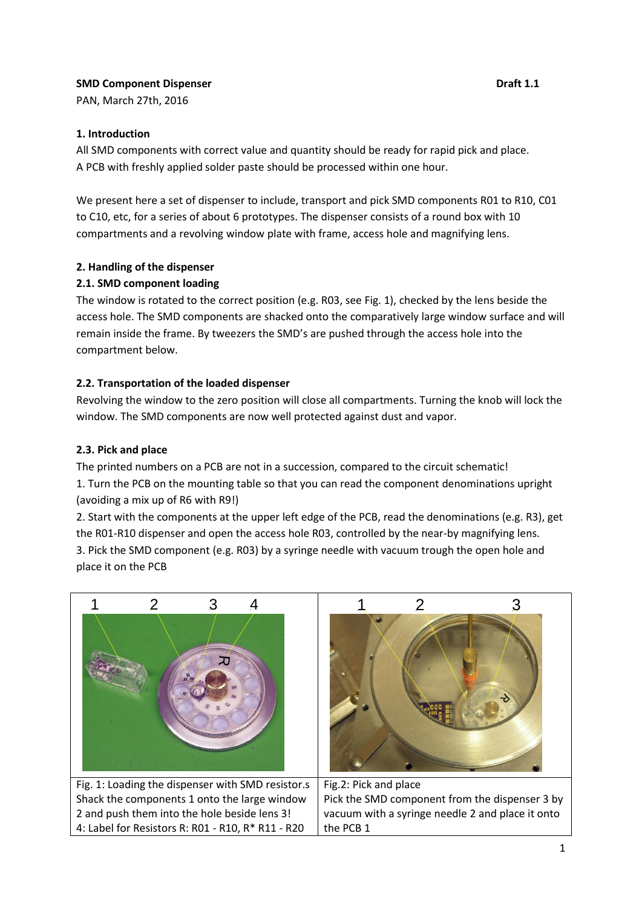# **SMD Component Dispenser Component Dispenser Component Dispenser Component Component Component Component Component Component Component Component Component Component Component Component Component Component Component Compone**

PAN, March 27th, 2016

## **1. Introduction**

All SMD components with correct value and quantity should be ready for rapid pick and place. A PCB with freshly applied solder paste should be processed within one hour.

We present here a set of dispenser to include, transport and pick SMD components R01 to R10, C01 to C10, etc, for a series of about 6 prototypes. The dispenser consists of a round box with 10 compartments and a revolving window plate with frame, access hole and magnifying lens.

## **2. Handling of the dispenser**

## **2.1. SMD component loading**

The window is rotated to the correct position (e.g. R03, see Fig. 1), checked by the lens beside the access hole. The SMD components are shacked onto the comparatively large window surface and will remain inside the frame. By tweezers the SMD's are pushed through the access hole into the compartment below.

## **2.2. Transportation of the loaded dispenser**

Revolving the window to the zero position will close all compartments. Turning the knob will lock the window. The SMD components are now well protected against dust and vapor.

## **2.3. Pick and place**

The printed numbers on a PCB are not in a succession, compared to the circuit schematic! 1. Turn the PCB on the mounting table so that you can read the component denominations upright (avoiding a mix up of R6 with R9!)

2. Start with the components at the upper left edge of the PCB, read the denominations (e.g. R3), get the R01-R10 dispenser and open the access hole R03, controlled by the near-by magnifying lens. 3. Pick the SMD component (e.g. R03) by a syringe needle with vacuum trough the open hole and place it on the PCB

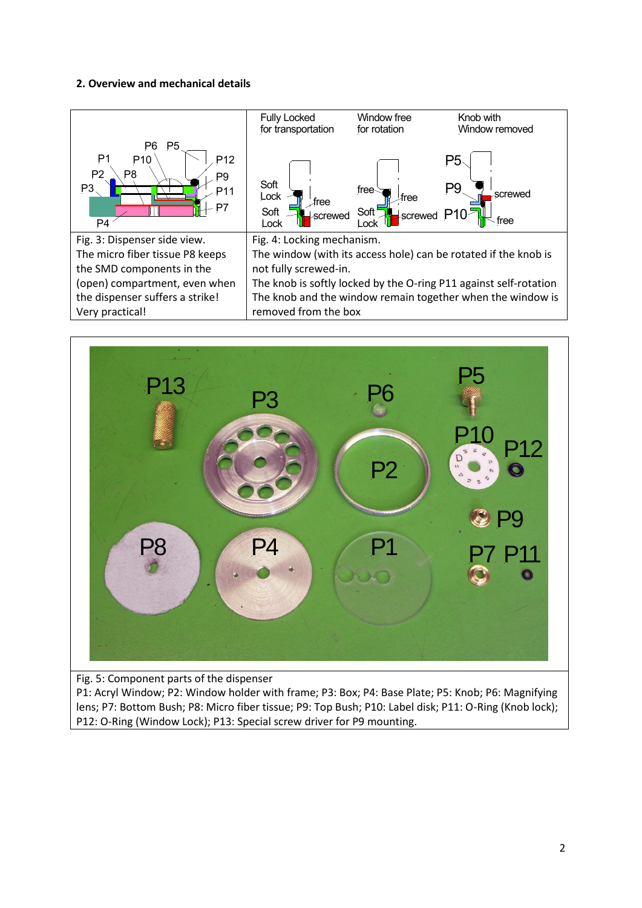## **2. Overview and mechanical details**





Fig. 5: Component parts of the dispenser

P1: Acryl Window; P2: Window holder with frame; P3: Box; P4: Base Plate; P5: Knob; P6: Magnifying lens; P7: Bottom Bush; P8: Micro fiber tissue; P9: Top Bush; P10: Label disk; P11: O-Ring (Knob lock); P12: O-Ring (Window Lock); P13: Special screw driver for P9 mounting.